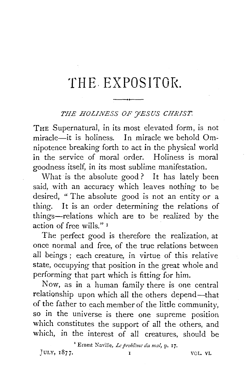## **'fH E. EXPOS IT Of<.**

## THE HOLINESS OF **FESUS CHRIST.**

THE Supernatural, in its most elevated form, is not miracle—it is holiness. In miracle we behold Omnipotence breaking forth to act in the physical world in the service of moral order. Holiness is moral goodness itself, in its most sublime manifestation.

What is the absolute good? It has lately been said, with an accuracy which leaves nothing to be desired, "The absolute good is not an entity or a thing. It is an order determining the relations of things-relations which are to be realized by the action of free wills." <sup>I</sup>

The perfect good is therefore the realization, at once normal and free, of the true relations between all beings ; each creature, in virtue of this relative state, occupying that position in the great whole and performing that part which is fitting for him.

Now, as in a human family there is one central relationship upon which all the others depend-that of the father to each member of the little community, so in the universe is there one supreme position which constitutes the support of all the others, and which, in the interest of all creatures, should be

<sup>1</sup> Ernest Naville, *Le problème du mal*, p. 17.  $JULY, 1877.$   $I$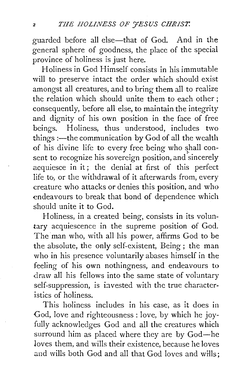guarded before all else-that of God. And in the general sphere of goodness, the place of the special province of holiness is just here.

Holiness in God Himself consists in his immutable will to preserve intact the order which should exist amongst all creatures, and to bring them all to realize the relation which should unite them to each other ; consequently, before all else, to maintain the integrity and dignity of his own position in the face of free beings. Holiness, thus understood, includes two things :- the communication by God of all the wealth of his divine life to every free being who shall consent to recognize his sovereign position, and sincerely acquiesce in it; the denial at first of this perfect life to, or the withdrawal of it afterwards from, every creature who attacks or denies this position, and who endeavours to break that bond of dependence which should unite it to God.

Holiness, in a created being, consists in its voluntary acquiescence in the supreme position of God. The man who, with all his power, affirms God to be the absolute, the only self-existent, Being ; the man who in his presence voluntarily abases himself in the feeling of his own nothingness, and endeavours to draw all his fellows into the same state of voluntary self-suppression, is iavested with the true characteristics of holiness.

This holiness includes in his case, as it does in God, love and righteousness : love, by which he joyfully acknowledges God and all the creatures which surround him as placed where they are by God-he loves them, and wills their existence, because he loves and wills both God and all that God loves and wills;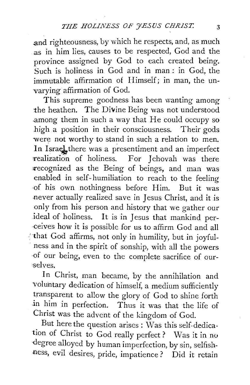and righteousness, by which he respects, and, as much as in him lies, causes to be respected, God and the province assigned by God to each created being. Such is holiness in God and in man : in God, the immutable affirmation of Himself; in man, the unvarying affirmation of God.

This supreme goodness has been wanting among the heathen. The Divine Being was not understood .among them in such a way that He could occupy so high a position in their consciousness. Their gods were not worthy to stand in such a relation to men. In Israel there was a presentiment and an imperfect realization of holiness. For Jehovah was there recognized as the Being of beings, and man was enabled in self-humiliation to reach to the feeling ·of his own nothingness before Him. But it was .never actually realized save in Jesus Christ, and it is only from his person and history that we gather our ideal of holiness. It is in Jesus that mankind per- ·ceives how it is possible for us to affirm God and all 'that God affirms, not only in humility, but in joyfulness and in the spirit of sonship, with all the powers of our being, even to the complete sacrifice of our-·selves.

In Christ, man became, by the annihilation and voluntary dedication of himself, a medium sufficiently transparent to allow the glory of God to shine forth .in him in perfection. Thus it was that the life of Christ was the advent of the kingdom of God.

But here the question arises: Was this self-dedication of Christ to God really perfect? Was it in no ·degree alloyed by human imperfection, by sin, selfishness, evil desires, pride, impatience? Did it retain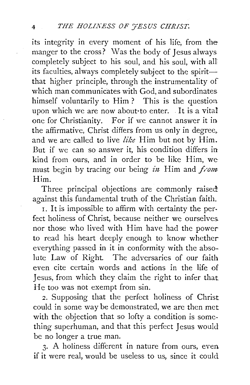its integrity in every moment of his life, from the manger to the cross? Was the body of Jesus always completely subject to his soul, and his soul, with all: its faculties, always completely subject to the spiritthat higher principle, through the instrumentality of which man communicates with God, and subordinates himself voluntarily to Him ? This is the question upon which we are now about to enter. It is a vital one for Christianity. For if we cannot answer it in the affirmative, Christ differs from us only in degree,. and we are called to live *like* Him but not by Him. But if we can so answer it, his condition differs inkind from ours, and in order to be like Him, wemust begin by tracing our being *in* Him and *from*: Him.

Three principal objections are commonly raised against this fundamental truth of the Christian faith.

r. It is impossible to affirm with certainty the perfect holiness of Christ, because neither we ourselves. nor those who lived with Him have had the power to read his heart deeply enough to know whether everything passed in it in conformity with the absolute Law of Right. The adversaries of our faith even cite certain words and actions in the life of Jesus, from which they claim the right to infer that. He too was not exempt from sin.

2. Supposing that the perfect holiness of Christ. could in some way be demonstrated, we are then met with the objection that so lofty a condition is something superhuman, and that this perfect Jesus would be no longer a true man.

3. A holiness different in nature from ours, even. if it were real, would be useless to us, since it could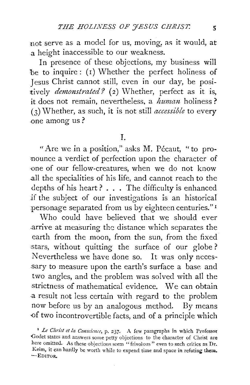not serve as a model for us, moving, as it would, at a height inaccessible to our weakness.

In presence of these objections, my business will be to inquire: (r) Whether the perfect holiness of Jesus Christ cannot still, even in our day, be positively *demonstrated?* (2) Whether, perfect as it is, it does not remain, nevertheless, a *human* holiness ? (3) Whether, as such, it is not still *accessible* to every .one among us ?

## I.

"Are we in a position," asks M. Pécaut, "to pronounce a verdict of perfection upon the character of ·one of our fellow-creatures, when we do not know .all the specialities of his life, and cannot reach to the depths of his heart ? . . . The difficulty is enhanced if the subject of our investigations is an historical personage separated from us by eighteen centuries."<sup>1</sup>

Who could have believed that we should ever .arrive at measuring the distance which separates the earth from the moon, from the sun, from the fixed stars, without quitting the surface of our globe? Nevertheless we have done so. It was only necessary to measure upon the earth's surface a base and two angles, and the problem was solved with all the strictness of mathematical evidence. We can obtain a result not less certain with regard to the problem now before us by an analogous method. By means -of two incontrovertible facts, and of a principle which

<sup>x</sup>*Le Christ et la Conscience,* p. 237. A few paragraphs in which Professor Godet states and answers some petty objections to the character of Christ are here omitted. As these objections seem "frivolous" even to such critics as Dr. Keim, it can hardly be worth while to expend time and space in refuting them. -EDITOR.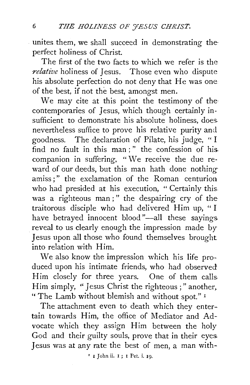unites them, we shall succeed in demonstrating the perfect holiness of Christ.

The first of the two facts to which we refer is the *relative* holiness of Jesus. Those even who dispute his absolute perfection do not deny that He was one of the best, if not the best, amongst men.

We may cite at this point the testimony of the contemporaries of Jesus, which though certainly insufficient to demonstrate his absolute holiness, does. nevertheless suffice to prove his relative purity and goodness. The declaration of Pilate, his judge, " I find no fault in this man ; " the confession of his. companion in suffering, "We receive the due reward of our deeds, but this man hath done nothingamiss ; " the exclamation of the Roman centurion who had presided at his execution, " Certainly this. was a righteous man;" the despairing cry of the traitorous disciple who had delivered Him up, " I have betrayed innocent blood "-all these sayings reveal to us clearly enough the impression made by Jesus upon all those who found themselves brought into relation with Him.

We also know the impression which his life produced upon his intimate friends, who had observed Him closely for three years. One of them calls. Him simply, "Jesus Christ the righteous ; "another, "The Lamb without blemish and without spot."<sup>1</sup>

The attachment even to death which they entertain towards Him, the office of Mediator and Advocate which they assign Him between the holy God and their guilty souls, prove that in their eyes. Jesus was at any rate the best of men, a man with-

' I John ii. I ; I Pet. i. Ig.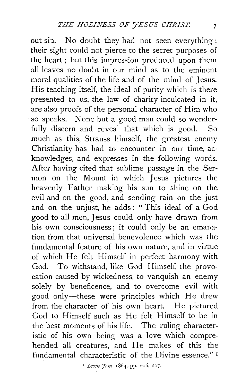out sin. No doubt they had not seen everything; their sight could not pierce to the secret purposes of the heart ; but this impression produced upon them all leaves no doubt in our mind as to the eminent moral qualities of the life and of the mind of Jesus. His teaching itself, the ideal of purity which is there presented to us, the law of charity inculcated in it, are also proofs of the personal character of Him who so speaks. None but a good man could so wonderfully discern and reveal that which is good. So much as this, Strauss himself, the greatest enemy Christianity has had to encounter in our time, acknowledges, and expresses in the following words. After having cited that sublime passage in the Sermon on the Mount in which Jesus pictures the heavenly Father making his sun to shine on the evil and on the good, and sending rain on the just and on the unjust, he adds: "This ideal of a God good to all men, Jesus could only have drawn from his own consciousness ; it could only be an emanation from that universal benevolence which was the fundamental feature of his own nature, and in virtue of which He felt Himself in perfect harmony with God. To withstand, like God Himself, the provocation caused by wickedness, to vanquish an enemy solely by beneficence, and to overcome evil with good only-these were principles which He drew from the character of his own heart. He pictured God to Himself such as He felt Himself to be in the best moments of his life. The ruling characteristic of his own being was a love which comprehended all creatures, and He makes of this the fundamental characteristic of the Divine essence." I.

<sup>&</sup>lt;sup>1</sup> *Leben 'fesu*, 1864, pp. 206, 207.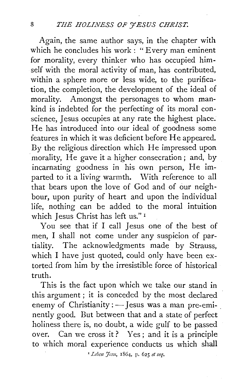Again, the same author says, in the chapter with which he concludes his work: "Every man eminent for morality, every thinker who has occupied himself with the moral activity of man, has contributed, within a sphere more or less wide, to the purification, the completion, the development of the ideal of morality. Amongst the personages to whom mankind is indebted for the perfecting of its moral conscience, Jesus occupies at any rate the highest place. He has introduced into our ideal of goodness some features in which it was deficient before He appeared. By the religious direction which He impressed upon morality, He gave it a higher consecration; and, by incarnating goodness in his own person, He imparted to it a living warmth. With reference to all that bears upon the love of God and of our neighbour, upon purity of heart and upon the individual life, nothing can be added to the moral intuition which Jesus Christ has left us." 1

You see that if I call Jesus one of the best of men, I shall not come under any suspicion of partiality. The acknowledgments made by Strauss, which I have just quoted, could only have been extorted from him by the irresistible force of historical truth.

This is the fact upon which we take our stand in this argument ; it is conceded by the most declared enemy of Christianity : - Jesus was a man pre-eminently good. But between that and a state of perfect holiness there is, no doubt, a wide gulf to be passed over. Can we cross it ? Yes ; and it is a principle to which moral experience conducts us which shall

*'Lebm J'cSit,* 1864, p. 625 *et seq.*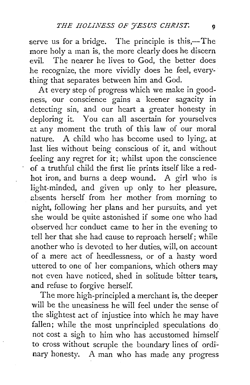serve us for a bridge. The principle is this,-The more holy a man is, the more clearly does he discern evil. The nearer he lives to God, the better does he recognize, the more vividly does he feel, everything that separates between him and God.

At every step of progress which we make in goodness, our conscience gains a keener sagacity in detecting sin, and our heart a greater honesty in deploring it. You can all ascertain for yourselves at any moment the truth of this law of our moral nature. A child who has become used to lying, at last lies without being conscious of it, and without feeling any regret for it; whilst upon the conscience of a truthful child the first lie prints itself like a redhot iron, and burns a deep wound. A girl who is light-minded, and given up only to her pleasure, absents herself from her mother from morning to night, following her plans and her pursuits, and yet she would be quite astonished if some one who had observed her conduct came to her in the evening to tell her that she had cause to reproach herself; while another who is devoted to her duties, will, on account of a mere act of heedlessness, or of a hasty word uttered to one of her companions, which others may not even have noticed, shed in solitude bitter tears, and refuse to forgive herself.

The more high-principled a merchant is, the deeper will be the uneasiness he will feel under the sense of the slightest act of injustice into which he may have fallen; while the most unprincipled speculations do. not cost a sigh to him who has accustomed himself to cross without scruple the boundary lines of ordinary honesty. A man who has made any progress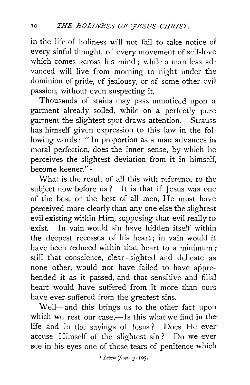in the life of holiness will not fail to take notice of every sinful thought, of every movement of self-love which comes across his mind; while a man less advanced will live from morning to night under the dominion of pride, of jealousy, or of some other evil passion, without even suspecting it.

Thousands of stains may pass unnoticed upon a garment already soiled, while on a perfectly pure garment the slightest spot draws attention. Strauss has himself given expression to this law in the following words: "In proportion as a man advances in moral perfection, does the inner sense, by which he perceives the slightest deviation from it in himself, become keener." 1

What is the result of all this with reference to the subject now before us? It is that if Jesus was one of the best or the best of all men, He must have perceived more clearly than any one else the slightest evil existing within Him, supposing that evil really to exist. In vain would sin have hidden itself within the deepest recesses of his heart; in vain would it have been reduced within that heart to a minimum ; still that conscience, clear- sighted and delicate as none other, would not have failed to have apprehended it as it passed, and that sensitive and filial heart would have suffered from it more than ours have ever suffered from the greatest sins.

Well-and this brings us to the other fact upon which we rest our case,-Is this what we find in the .life and in the sayings of Jesus? Does He ever accuse Himself of the slightest sin? Do we ever see in his eyes one of those tears of penitence which

• *Lebm 'Jesu,* P· 195.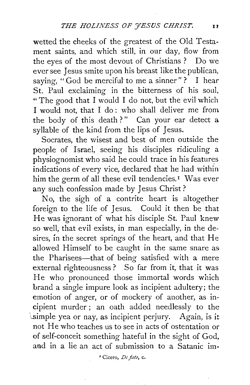wetted the cheeks of the greatest of the Old Testament saints, and which still, in our day, flow from the eyes of the most devout of Christians ? Do we ever see Jesus smite upon his breast like the publican, saying, "God be merciful to me a sinner"? I hear St. Paul exclaiming in the bitterness of his soul, " The good that I would I do not, but the evil which I would not, that I do: who shall deliver me from the body of this death?" Can your ear detect a syllable of the kind from the lips of Jesus.

Socrates, the wisest and best of men outside the people of Israel, seeing his disciples ridiculing a physiognomist who said he could trace in his features indications of every vice, declared that he had within him the germ of all these evil tendencies.<sup>1</sup> Was ever any such confession made by Jesus Christ ?

No, the sigh of a contrite heart is altogether foreign to the life of Jesus. Could it then be that He was ignorant of what his disciple St. Paul knew so well, that evil exists, in man especially, in the desires, in the secret springs of the heart, and that He allowed Himself to be caught in the same snare as the Pharisees-that of being satisfied with a mere external righteousness? So far from it, that it was He who pronounced those immortal words which brand a single impure look as incipient adultery; the emotion of anger, or of mockery of another, as incipient murder; an oath added needlessly to the \..simple yea or nay, as incipient perjury. Again, is it not He who teaches us to see in acts of ostentation or of self-conceit something hateful in the sight of God, and in a lie an act of submission to a Satanic im·

<sup>*r*</sup> Cicero, *De fato*, c.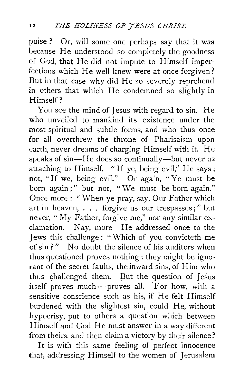puise? Or, will some one perhaps say that it was because He understood so completely the goodness of God, that He did not impute to Himself imperfections which He well knew were at once forgiven? But in that case why did He so severely reprehend in others that which He condemned so slightly in Himself?

You see the mind of Jesus with regard to sin. He who unveiled to mankind its existence under the most spiritual and subtle forms, and who thus once for all overthrew the throne of Pharisaism upon earth, never dreams of charging Himself with it. He speaks of sin-He does so continually-but never as attaching to Himself. "If ye, being evil," He says; not, "If we, being evil." Or again, "Ye must be born again;" but not, "We must be born again." Once more: "When ye pray, say, Our Father which art in heaven, . . . forgive us our trespasses ; " but never, "My Father, forgive me," nor any similar exclamation. Nay, more-He addressed once to the Jews this challenge : "Which of you convicteth me of sin?" No doubt the silence of his auditors when thus questioned proves nothing: they might be ignorant of the secret faults, the inward sins, of Him who thus challenged them. But the question of Jesus itself proves much-proves all. For how, with a sensitive conscience such as his, if He felt Himself burdened with the slightest sin, could He, without hypocrisy, put to others a question which between Himself and God He must answer in a way different from theirs, and then claim a victory by their silence?

It is with this same feeling of perfect innocence that, addressing Himself to the women of Jerusalem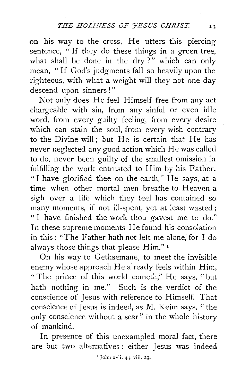on his way to the cross, He utters this piercing sentence, " If they do these things in a green tree, what shall be done in the dry?" which can only mean, " If God's judgments fall so heavily upon the righteous, with what a weight will they not one day descend upon sinners ! "

Not only does He feel Himself free from any act chargeable with sin, from any sinful or even idle word, from every guilty feeling, from every desire which can stain the soul, from every wish contrary to the Divine will; but He is certain that He has never neglected any good action which He was called to do, never been guilty of the smallest omission in fulfilling the work entrusted to Him by his Father. "I have glorified thee on the earth," He says, at a time when other mortal men breathe to Heaven a sigh over a life which they feel has contained so many moments, if not ill-spent, yet at least wasted ; "I have finished the work thou gavest me to do." In these supreme moments He found his consolation in this: "The Father bath not left me alone; for I do always those things that please Him." 1

On his way to Gethsemane, to meet the invisible enemy whose approach He already feels within Him, "The prince of this world cometh," He says, "but bath nothing in me." Such is the verdict of the conscience of Jesus with reference to Himself. That conscience of Jesus is indeed, as M. Keim says, "the only conscience without a scar" in the whole history of mankind.

In presence of this unexampled moral fact, there are but two alternatives : either Jesus was indeed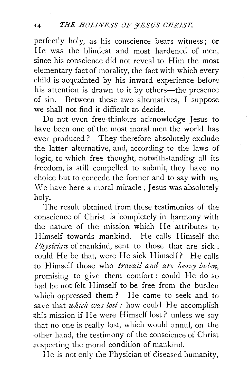perfectly holy, as his conscience bears witness; or He was the blindest and most hardened of men, since his conscience did not reveal to Him the most elementary fact of morality, the fact with which every child is acquainted by his inward experience before his attention is drawn to it by others—the presence of sin. Between these two alternatives, I suppose we shall not find it difficult to decide.

Do not even free-thinkers acknowledge Jesus to have been one of the most moral men the world has ever produced ? They therefore absolutely exclude the latter alternative, and, according to the laws of logic, to which free thought, notwithstanding all its freedom, is still compelled to submit, they have no choice but to concede the former and to say with us, We have here a moral miracle; Jesus was absolutely holy.

The result obtained from these testimonies of the conscience of Christ is completely in harmony with the nature of the mission which He attributes to Himself towards mankind. He calls Himself the *Physician* of mankind, sent to those that are sick : could He be that, were He sick Himself? He calls to Himself those who *travail and are heavy laden*, promising to give them comfort: could He do so had he not felt Himself to be free from the burden which oppressed them ? He came to seek and to save that *which was lost*: how could He accomplish >this mission if He were Himself lost? unless we say that no one is really lost, which would annul, on the other hand, the testimony of the conscience of Christ .respecting the moral condition of mankind.

He is not only the Physician of diseased humanity,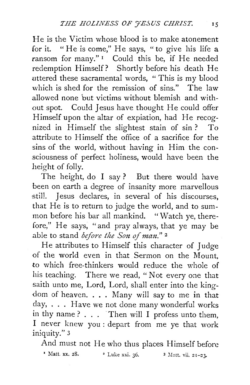He is the Victim whose blood is to make atonement for it. " He is come," He says, "to give his life a ransom for many." 1 Could this be, if He needed redemption Himself? Shortly before his death He uttered these sacramental words, " This is my blood which is shed for the remission of sins." The law allowed none but victims without blemish and without spot. Could Jesus have thought He could offer Himself upon the altar of expiation, had He recognized in Himself the slightest stain of sin? To attribute to Himself the office of a sacrifice for the sins of the world, without having in Him the consciousness of perfect holiness, would have been the height of folly.

The height, do I say? But there would have been on earth a degree of insanity more marvellous still. Jesus declares, in several of his discourses, that He is to return to judge the world, and to summon before his bar all mankind. "Watch ye, therefore," He says, "and pray always, that ye may be able to stand *before the Son of man.*"<sup>2</sup>

He attributes to Himself this character of Judge of the world even in that Sermon on the Mount, to which free-thinkers would reduce the whole of his teaching. There we read, " Not every one that saith unto me, Lord, Lord, shall enter into the kingdom of heaven. . . . Many will say to me in that day, . . . Have we not done many wonderful works in thy name ?  $\ldots$  Then will I profess unto them, I never knew you : depart from me ye that work iniquity." 3

And must not He who thus places Himself before

 $\text{Matt. xx. 28.}$  2 Luke xxi. 36. 3 Matt. vii. 21-23.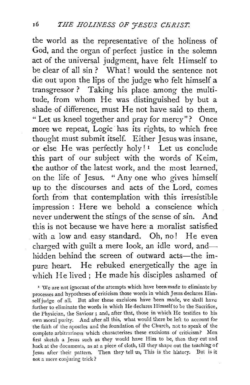the world as the representative of the holiness of God, and the organ of perfect justice in the solemn act of the universal judgment, have felt Himself to be clear of all sin ? What ! would the sentence not die out upon the lips of the judge who felt himself a transgressor? Taking his place among the multitude, from whom He was distinguished by but a shade of difference, must He not have said to them, " Let us kneel together and pray for mercy"? Once more we repeat, Logic has its rights, to which free thought must submit itself. Either Jesus was insane, or else He was perfectly holy!<sup>1</sup> Let us conclude this part of our subject with the words of Keim, the author of the latest work, and the most learned, on the life of Jesus. "Any one who gives himself up to the discourses and acts of the Lord, comes forth from that contemplation with this irresistible impression : Here we behold a conscience which never underwent the stings of the sense of sin. And this is not because we have here a moralist satisfied with a low and easy standard. Oh, no! He even charged with guilt a mere look, an idle word, andhidden behind the screen of outward acts-the impure heart. He rebuked energetically the age in which He lived; He made his disciples ashamed of

<sup>1</sup> We are not ignorant of the attempts which have been made to eliminate by processes and hypotheses of criticism those words in which Jesus declares Him. self judge of all. But after these excisions have been made, we shall have further to eliminate the words in which He declares Himself to be the Sacrifice, the Physician, the Saviour ; and, after that, those in which He testifies to his own moral purity. And after all this, what would there be left to account for the faith of the apostles and the foundation of the Church, not to speak of the complete arbitrariness which characterizes these excisions of criticism? Men first sketch a Jesus such as they would have Him to be, then they cut and hack at the documents, as at a piece of cloth, till they shape out the teaching of Jesus after their pattern. Then they tell us, This is the history. But is it not a mere conjuring trick?